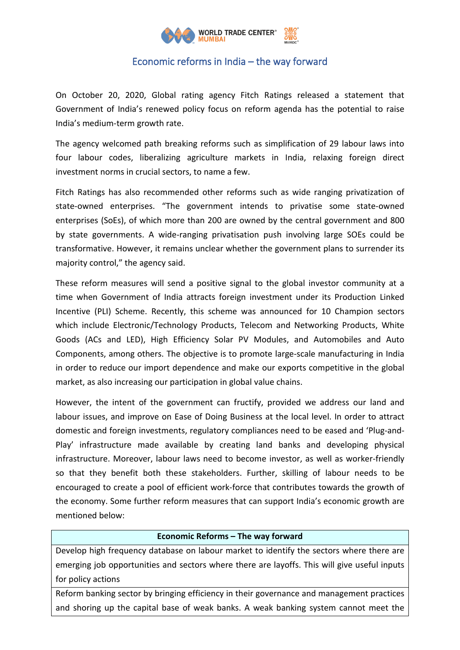

## Economic reforms in India – the way forward

On October 20, 2020, Global rating agency Fitch Ratings released a statement that Government of India's renewed policy focus on reform agenda has the potential to raise India's medium-term growth rate.

The agency welcomed path breaking reforms such as simplification of 29 labour laws into four labour codes, liberalizing agriculture markets in India, relaxing foreign direct investment norms in crucial sectors, to name a few.

Fitch Ratings has also recommended other reforms such as wide ranging privatization of state-owned enterprises. "The government intends to privatise some state-owned enterprises (SoEs), of which more than 200 are owned by the central government and 800 by state governments. A wide-ranging privatisation push involving large SOEs could be transformative. However, it remains unclear whether the government plans to surrender its majority control," the agency said.

These reform measures will send a positive signal to the global investor community at a time when Government of India attracts foreign investment under its Production Linked Incentive (PLI) Scheme. Recently, this scheme was announced for 10 Champion sectors which include Electronic/Technology Products, Telecom and Networking Products, White Goods (ACs and LED), High Efficiency Solar PV Modules, and Automobiles and Auto Components, among others. The objective is to promote large-scale manufacturing in India in order to reduce our import dependence and make our exports competitive in the global market, as also increasing our participation in global value chains.

However, the intent of the government can fructify, provided we address our land and labour issues, and improve on Ease of Doing Business at the local level. In order to attract domestic and foreign investments, regulatory compliances need to be eased and 'Plug-and-Play' infrastructure made available by creating land banks and developing physical infrastructure. Moreover, labour laws need to become investor, as well as worker-friendly so that they benefit both these stakeholders. Further, skilling of labour needs to be encouraged to create a pool of efficient work-force that contributes towards the growth of the economy. Some further reform measures that can support India's economic growth are mentioned below:

## **Economic Reforms – The way forward**

Develop high frequency database on labour market to identify the sectors where there are emerging job opportunities and sectors where there are layoffs. This will give useful inputs for policy actions

Reform banking sector by bringing efficiency in their governance and management practices and shoring up the capital base of weak banks. A weak banking system cannot meet the